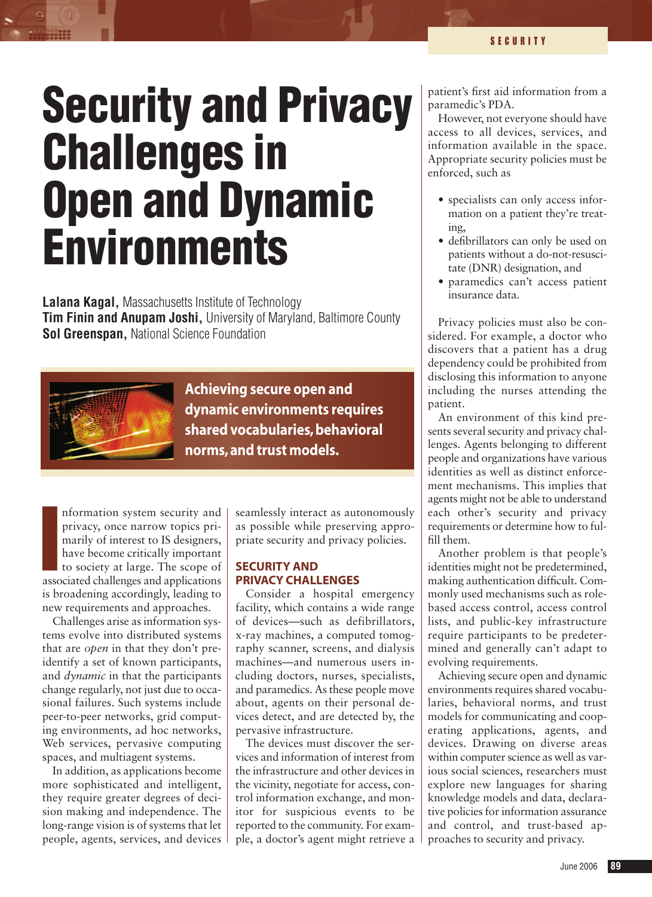# **Security and Privacy Challenges in Open and Dynamic Environments**

**Lalana Kagal,** Massachusetts Institute of Technology **Tim Finin and Anupam Joshi,** University of Maryland, Baltimore County **Sol Greenspan,** National Science Foundation



**Achieving secure open and dynamic environments requires shared vocabularies, behavioral norms, and trust models.**

nformation system security and<br>privacy, once narrow topics pri-<br>marily of interest to IS designers,<br>have become critically important<br>to society at large. The scope of<br>associated challenges and applications nformation system security and privacy, once narrow topics primarily of interest to IS designers, have become critically important to society at large. The scope of is broadening accordingly, leading to new requirements and approaches.

Challenges arise as information systems evolve into distributed systems that are *open* in that they don't preidentify a set of known participants, and *dynamic* in that the participants change regularly, not just due to occasional failures. Such systems include peer-to-peer networks, grid computing environments, ad hoc networks, Web services, pervasive computing spaces, and multiagent systems.

In addition, as applications become more sophisticated and intelligent, they require greater degrees of decision making and independence. The long-range vision is of systems that let people, agents, services, and devices seamlessly interact as autonomously as possible while preserving appropriate security and privacy policies.

### **SECURITY AND PRIVACY CHALLENGES**

Consider a hospital emergency facility, which contains a wide range of devices—such as defibrillators, x-ray machines, a computed tomography scanner, screens, and dialysis machines—and numerous users including doctors, nurses, specialists, and paramedics. As these people move about, agents on their personal devices detect, and are detected by, the pervasive infrastructure.

The devices must discover the services and information of interest from the infrastructure and other devices in the vicinity, negotiate for access, control information exchange, and monitor for suspicious events to be reported to the community. For example, a doctor's agent might retrieve a

patient's first aid information from a paramedic's PDA.

However, not everyone should have access to all devices, services, and information available in the space. Appropriate security policies must be enforced, such as

- specialists can only access information on a patient they're treating,
- defibrillators can only be used on patients without a do-not-resuscitate (DNR) designation, and
- paramedics can't access patient insurance data.

Privacy policies must also be considered. For example, a doctor who discovers that a patient has a drug dependency could be prohibited from disclosing this information to anyone including the nurses attending the patient.

An environment of this kind presents several security and privacy challenges. Agents belonging to different people and organizations have various identities as well as distinct enforcement mechanisms. This implies that agents might not be able to understand each other's security and privacy requirements or determine how to fulfill them.

Another problem is that people's identities might not be predetermined, making authentication difficult. Commonly used mechanisms such as rolebased access control, access control lists, and public-key infrastructure require participants to be predetermined and generally can't adapt to evolving requirements.

Achieving secure open and dynamic environments requires shared vocabularies, behavioral norms, and trust models for communicating and cooperating applications, agents, and devices. Drawing on diverse areas within computer science as well as various social sciences, researchers must explore new languages for sharing knowledge models and data, declarative policies for information assurance and control, and trust-based approaches to security and privacy.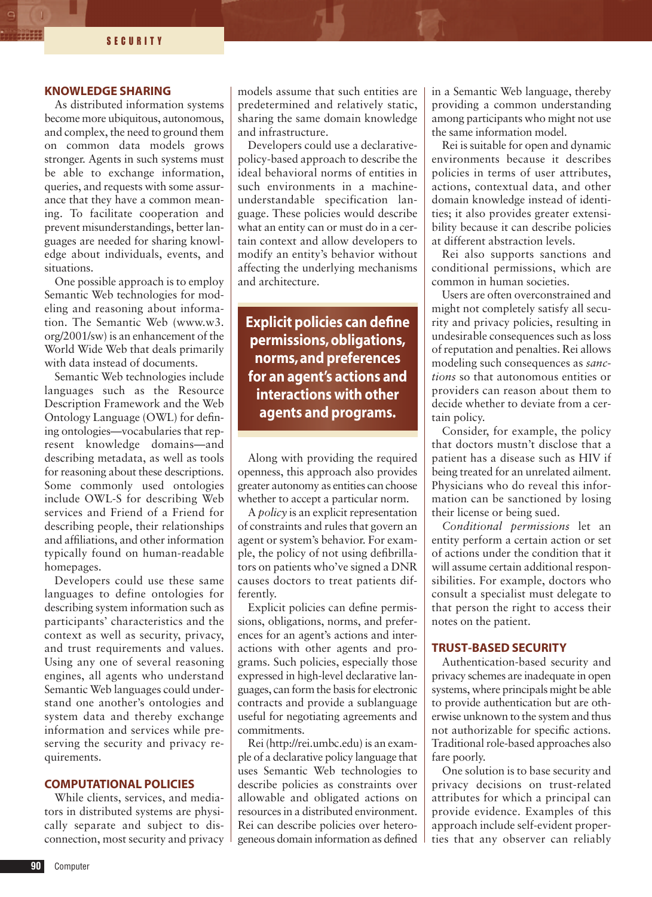#### **KNOWLEDGE SHARING**

As distributed information systems become more ubiquitous, autonomous, and complex, the need to ground them on common data models grows stronger. Agents in such systems must be able to exchange information, queries, and requests with some assurance that they have a common meaning. To facilitate cooperation and prevent misunderstandings, better languages are needed for sharing knowledge about individuals, events, and situations.

One possible approach is to employ Semantic Web technologies for modeling and reasoning about information. The Semantic Web (www.w3. org/2001/sw) is an enhancement of the World Wide Web that deals primarily with data instead of documents.

Semantic Web technologies include languages such as the Resource Description Framework and the Web Ontology Language (OWL) for defining ontologies—vocabularies that represent knowledge domains—and describing metadata, as well as tools for reasoning about these descriptions. Some commonly used ontologies include OWL-S for describing Web services and Friend of a Friend for describing people, their relationships and affiliations, and other information typically found on human-readable homepages.

Developers could use these same languages to define ontologies for describing system information such as participants' characteristics and the context as well as security, privacy, and trust requirements and values. Using any one of several reasoning engines, all agents who understand Semantic Web languages could understand one another's ontologies and system data and thereby exchange information and services while preserving the security and privacy requirements.

#### **COMPUTATIONAL POLICIES**

While clients, services, and mediators in distributed systems are physically separate and subject to disconnection, most security and privacy

models assume that such entities are predetermined and relatively static, sharing the same domain knowledge and infrastructure.

Developers could use a declarativepolicy-based approach to describe the ideal behavioral norms of entities in such environments in a machineunderstandable specification language. These policies would describe what an entity can or must do in a certain context and allow developers to modify an entity's behavior without affecting the underlying mechanisms and architecture.

**Explicit policies can define permissions, obligations, norms, and preferences for an agent's actions and interactions with other agents and programs.**

Along with providing the required openness, this approach also provides greater autonomy as entities can choose whether to accept a particular norm.

A *policy* is an explicit representation of constraints and rules that govern an agent or system's behavior. For example, the policy of not using defibrillators on patients who've signed a DNR causes doctors to treat patients differently.

Explicit policies can define permissions, obligations, norms, and preferences for an agent's actions and interactions with other agents and programs. Such policies, especially those expressed in high-level declarative languages, can form the basis for electronic contracts and provide a sublanguage useful for negotiating agreements and commitments.

Rei (http://rei.umbc.edu) is an example of a declarative policy language that uses Semantic Web technologies to describe policies as constraints over allowable and obligated actions on resources in a distributed environment. Rei can describe policies over heterogeneous domain information as defined

in a Semantic Web language, thereby providing a common understanding among participants who might not use the same information model.

Rei is suitable for open and dynamic environments because it describes policies in terms of user attributes, actions, contextual data, and other domain knowledge instead of identities; it also provides greater extensibility because it can describe policies at different abstraction levels.

Rei also supports sanctions and conditional permissions, which are common in human societies.

Users are often overconstrained and might not completely satisfy all security and privacy policies, resulting in undesirable consequences such as loss of reputation and penalties. Rei allows modeling such consequences as *sanctions* so that autonomous entities or providers can reason about them to decide whether to deviate from a certain policy.

Consider, for example, the policy that doctors mustn't disclose that a patient has a disease such as HIV if being treated for an unrelated ailment. Physicians who do reveal this information can be sanctioned by losing their license or being sued.

*Conditional permissions* let an entity perform a certain action or set of actions under the condition that it will assume certain additional responsibilities. For example, doctors who consult a specialist must delegate to that person the right to access their notes on the patient.

#### **TRUST-BASED SECURITY**

Authentication-based security and privacy schemes are inadequate in open systems, where principals might be able to provide authentication but are otherwise unknown to the system and thus not authorizable for specific actions. Traditional role-based approaches also fare poorly.

One solution is to base security and privacy decisions on trust-related attributes for which a principal can provide evidence. Examples of this approach include self-evident properties that any observer can reliably